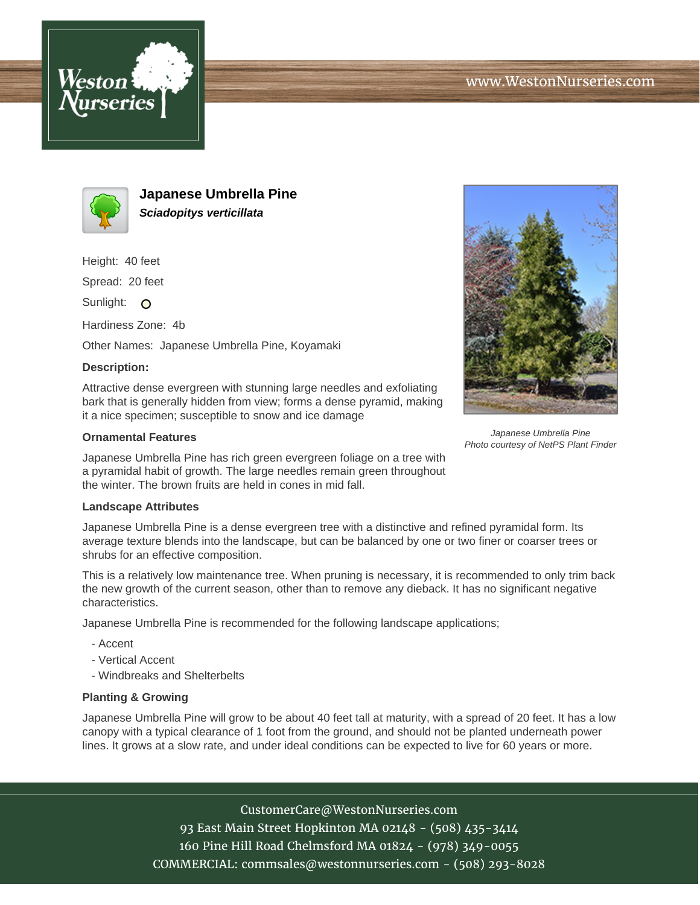



**Japanese Umbrella Pine Sciadopitys verticillata**

Height: 40 feet

Spread: 20 feet

Sunlight: O

Hardiness Zone: 4b

Other Names: Japanese Umbrella Pine, Koyamaki

## **Description:**

Attractive dense evergreen with stunning large needles and exfoliating bark that is generally hidden from view; forms a dense pyramid, making it a nice specimen; susceptible to snow and ice damage

## **Ornamental Features**

Japanese Umbrella Pine has rich green evergreen foliage on a tree with a pyramidal habit of growth. The large needles remain green throughout the winter. The brown fruits are held in cones in mid fall.

## **Landscape Attributes**

Japanese Umbrella Pine is a dense evergreen tree with a distinctive and refined pyramidal form. Its average texture blends into the landscape, but can be balanced by one or two finer or coarser trees or shrubs for an effective composition.

This is a relatively low maintenance tree. When pruning is necessary, it is recommended to only trim back the new growth of the current season, other than to remove any dieback. It has no significant negative characteristics.

Japanese Umbrella Pine is recommended for the following landscape applications;

- Accent
- Vertical Accent
- Windbreaks and Shelterbelts

## **Planting & Growing**

Japanese Umbrella Pine will grow to be about 40 feet tall at maturity, with a spread of 20 feet. It has a low canopy with a typical clearance of 1 foot from the ground, and should not be planted underneath power lines. It grows at a slow rate, and under ideal conditions can be expected to live for 60 years or more.

> CustomerCare@WestonNurseries.com 93 East Main Street Hopkinton MA 02148 - (508) 435-3414 160 Pine Hill Road Chelmsford MA 01824 - (978) 349-0055 COMMERCIAL: commsales@westonnurseries.com - (508) 293-8028



Japanese Umbrella Pine Photo courtesy of NetPS Plant Finder